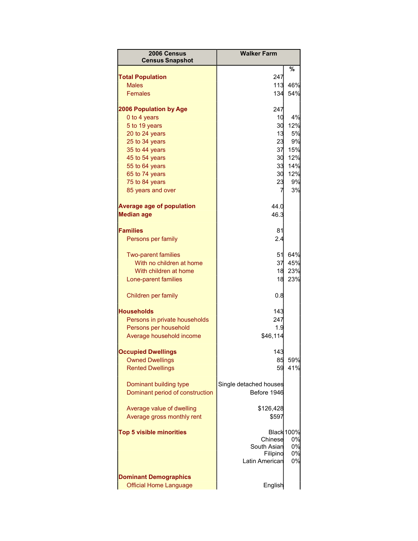| 2006 Census<br><b>Census Snapshot</b> | <b>Walker Farm</b>     |                   |
|---------------------------------------|------------------------|-------------------|
|                                       |                        | %                 |
| <b>Total Population</b>               | 247                    |                   |
| <b>Males</b>                          | 113                    | 46%               |
| <b>Females</b>                        | 134                    | 54%               |
| <b>2006 Population by Age</b>         | 247                    |                   |
| 0 to 4 years                          | 10                     | 4%                |
| 5 to 19 years                         | 30                     | 12%               |
| 20 to 24 years                        | 13                     | 5%                |
| 25 to 34 years                        | 23                     | 9%                |
| 35 to 44 years                        | 37                     | 15%               |
| 45 to 54 years                        | 30                     | 12%               |
| 55 to 64 years                        | 33                     | 14%               |
| 65 to 74 years                        | 30                     | 12%               |
| 75 to 84 years                        | 23                     | 9%                |
| 85 years and over                     | 7                      | 3%                |
| <b>Average age of population</b>      | 44.0                   |                   |
| <b>Median age</b>                     | 46.3                   |                   |
|                                       |                        |                   |
| <b>Families</b>                       | 81                     |                   |
| Persons per family                    | 2.4                    |                   |
| <b>Two-parent families</b>            | 51                     | 64%               |
| With no children at home              | 37                     | 45%               |
| With children at home                 | 18                     | 23%               |
| Lone-parent families                  | 18                     | 23%               |
|                                       |                        |                   |
| Children per family                   | 0.8                    |                   |
| <b>Households</b>                     | 143                    |                   |
| Persons in private households         | 247                    |                   |
| Persons per household                 | 1.9                    |                   |
| Average household income              | \$46,114               |                   |
|                                       |                        |                   |
| <b>Occupied Dwellings</b>             | 143                    |                   |
| <b>Owned Dwellings</b>                | 85                     | 59%               |
| <b>Rented Dwellings</b>               | 59                     | 41%               |
| Dominant building type                | Single detached houses |                   |
| Dominant period of construction       | Before 1946            |                   |
|                                       |                        |                   |
| Average value of dwelling             | \$126,428              |                   |
| Average gross monthly rent            | \$597                  |                   |
| <b>Top 5 visible minorities</b>       |                        | <b>Black 100%</b> |
|                                       | Chinese                | 0%                |
|                                       | South Asian            | 0%                |
|                                       | Filipino               | 0%                |
|                                       | Latin American         | 0%                |
| <b>Dominant Demographics</b>          |                        |                   |
| <b>Official Home Language</b>         | English                |                   |
|                                       |                        |                   |